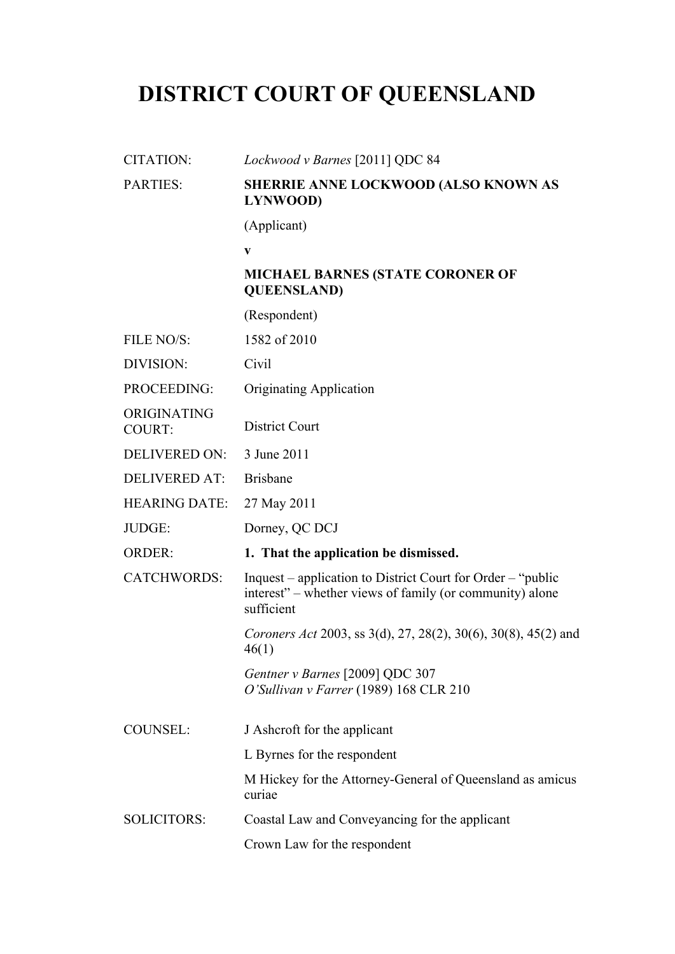# **DISTRICT COURT OF QUEENSLAND**

| <b>CITATION:</b>      | Lockwood v Barnes [2011] QDC 84                                                                                                       |
|-----------------------|---------------------------------------------------------------------------------------------------------------------------------------|
| <b>PARTIES:</b>       | SHERRIE ANNE LOCKWOOD (ALSO KNOWN AS<br>LYNWOOD)                                                                                      |
|                       | (Applicant)                                                                                                                           |
|                       | $\mathbf{V}$                                                                                                                          |
|                       | <b>MICHAEL BARNES (STATE CORONER OF</b><br><b>QUEENSLAND</b> )                                                                        |
|                       | (Respondent)                                                                                                                          |
| FILE NO/S:            | 1582 of 2010                                                                                                                          |
| DIVISION:             | Civil                                                                                                                                 |
| PROCEEDING:           | <b>Originating Application</b>                                                                                                        |
| ORIGINATING<br>COURT: | <b>District Court</b>                                                                                                                 |
| <b>DELIVERED ON:</b>  | 3 June 2011                                                                                                                           |
| <b>DELIVERED AT:</b>  | <b>Brisbane</b>                                                                                                                       |
| <b>HEARING DATE:</b>  | 27 May 2011                                                                                                                           |
| JUDGE:                | Dorney, QC DCJ                                                                                                                        |
| <b>ORDER:</b>         | 1. That the application be dismissed.                                                                                                 |
| <b>CATCHWORDS:</b>    | Inquest – application to District Court for Order – "public<br>interest" – whether views of family (or community) alone<br>sufficient |
|                       | Coroners Act 2003, ss 3(d), 27, 28(2), 30(6), 30(8), 45(2) and<br>46(1)                                                               |
|                       | Gentner v Barnes [2009] QDC 307<br>O'Sullivan v Farrer (1989) 168 CLR 210                                                             |
| <b>COUNSEL:</b>       | J Ashcroft for the applicant                                                                                                          |
|                       | L Byrnes for the respondent                                                                                                           |
|                       | M Hickey for the Attorney-General of Queensland as amicus<br>curiae                                                                   |
| <b>SOLICITORS:</b>    | Coastal Law and Conveyancing for the applicant                                                                                        |
|                       | Crown Law for the respondent                                                                                                          |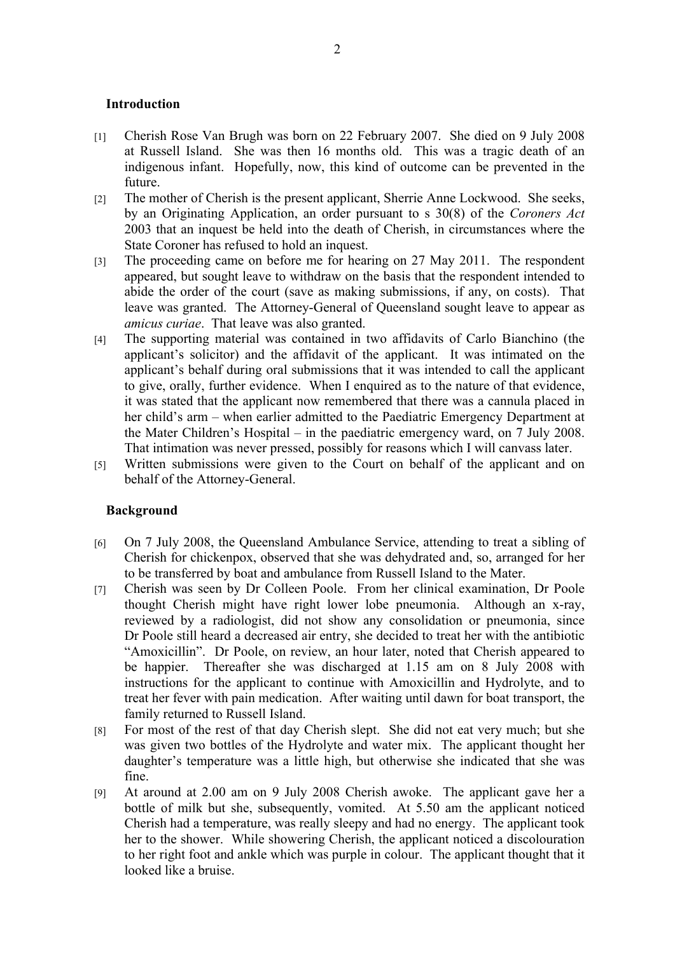# **Introduction**

- [1] Cherish Rose Van Brugh was born on 22 February 2007. She died on 9 July 2008 at Russell Island. She was then 16 months old. This was a tragic death of an indigenous infant. Hopefully, now, this kind of outcome can be prevented in the future.
- [2] The mother of Cherish is the present applicant, Sherrie Anne Lockwood. She seeks, by an Originating Application, an order pursuant to s 30(8) of the *Coroners Act* 2003 that an inquest be held into the death of Cherish, in circumstances where the State Coroner has refused to hold an inquest.
- [3] The proceeding came on before me for hearing on 27 May 2011. The respondent appeared, but sought leave to withdraw on the basis that the respondent intended to abide the order of the court (save as making submissions, if any, on costs). That leave was granted. The Attorney-General of Queensland sought leave to appear as *amicus curiae*. That leave was also granted.
- [4] The supporting material was contained in two affidavits of Carlo Bianchino (the applicant's solicitor) and the affidavit of the applicant. It was intimated on the applicant's behalf during oral submissions that it was intended to call the applicant to give, orally, further evidence. When I enquired as to the nature of that evidence, it was stated that the applicant now remembered that there was a cannula placed in her child's arm – when earlier admitted to the Paediatric Emergency Department at the Mater Children's Hospital – in the paediatric emergency ward, on 7 July 2008. That intimation was never pressed, possibly for reasons which I will canvass later.
- [5] Written submissions were given to the Court on behalf of the applicant and on behalf of the Attorney-General.

#### **Background**

- [6] On 7 July 2008, the Queensland Ambulance Service, attending to treat a sibling of Cherish for chickenpox, observed that she was dehydrated and, so, arranged for her to be transferred by boat and ambulance from Russell Island to the Mater.
- [7] Cherish was seen by Dr Colleen Poole. From her clinical examination, Dr Poole thought Cherish might have right lower lobe pneumonia. Although an x-ray, reviewed by a radiologist, did not show any consolidation or pneumonia, since Dr Poole still heard a decreased air entry, she decided to treat her with the antibiotic "Amoxicillin". Dr Poole, on review, an hour later, noted that Cherish appeared to be happier. Thereafter she was discharged at 1.15 am on 8 July 2008 with instructions for the applicant to continue with Amoxicillin and Hydrolyte, and to treat her fever with pain medication. After waiting until dawn for boat transport, the family returned to Russell Island.
- [8] For most of the rest of that day Cherish slept. She did not eat very much; but she was given two bottles of the Hydrolyte and water mix. The applicant thought her daughter's temperature was a little high, but otherwise she indicated that she was fine.
- [9] At around at 2.00 am on 9 July 2008 Cherish awoke. The applicant gave her a bottle of milk but she, subsequently, vomited. At 5.50 am the applicant noticed Cherish had a temperature, was really sleepy and had no energy. The applicant took her to the shower. While showering Cherish, the applicant noticed a discolouration to her right foot and ankle which was purple in colour. The applicant thought that it looked like a bruise.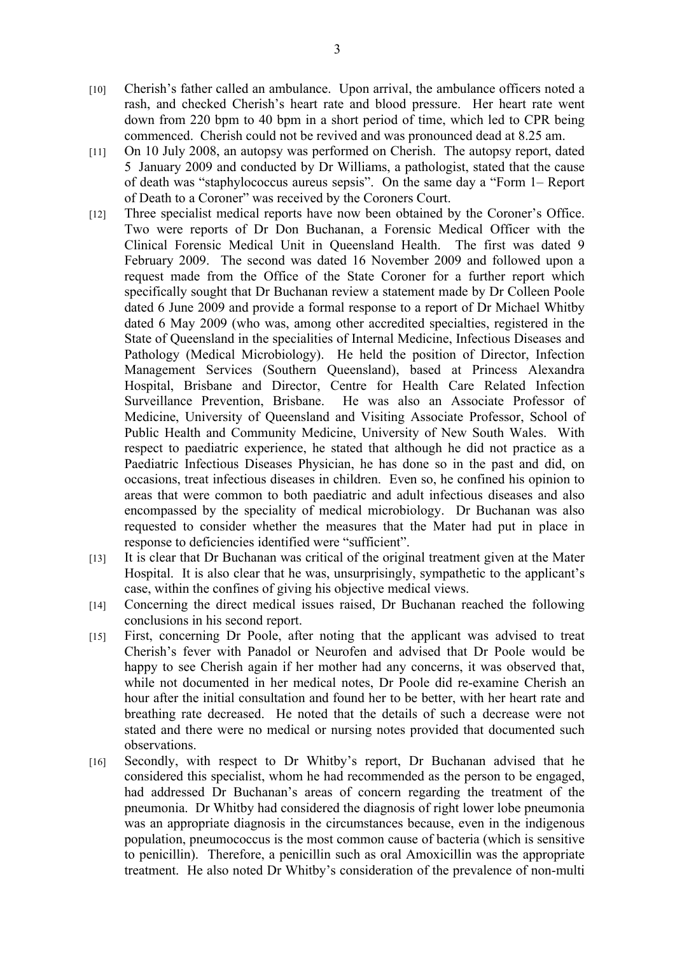- [10] Cherish's father called an ambulance. Upon arrival, the ambulance officers noted a rash, and checked Cherish's heart rate and blood pressure. Her heart rate went down from 220 bpm to 40 bpm in a short period of time, which led to CPR being commenced. Cherish could not be revived and was pronounced dead at 8.25 am.
- [11] On 10 July 2008, an autopsy was performed on Cherish. The autopsy report, dated 5 January 2009 and conducted by Dr Williams, a pathologist, stated that the cause of death was "staphylococcus aureus sepsis". On the same day a "Form 1– Report of Death to a Coroner" was received by the Coroners Court.
- [12] Three specialist medical reports have now been obtained by the Coroner's Office. Two were reports of Dr Don Buchanan, a Forensic Medical Officer with the Clinical Forensic Medical Unit in Queensland Health. The first was dated 9 February 2009. The second was dated 16 November 2009 and followed upon a request made from the Office of the State Coroner for a further report which specifically sought that Dr Buchanan review a statement made by Dr Colleen Poole dated 6 June 2009 and provide a formal response to a report of Dr Michael Whitby dated 6 May 2009 (who was, among other accredited specialties, registered in the State of Queensland in the specialities of Internal Medicine, Infectious Diseases and Pathology (Medical Microbiology). He held the position of Director, Infection Management Services (Southern Queensland), based at Princess Alexandra Hospital, Brisbane and Director, Centre for Health Care Related Infection Surveillance Prevention, Brisbane. He was also an Associate Professor of Medicine, University of Queensland and Visiting Associate Professor, School of Public Health and Community Medicine, University of New South Wales. With respect to paediatric experience, he stated that although he did not practice as a Paediatric Infectious Diseases Physician, he has done so in the past and did, on occasions, treat infectious diseases in children. Even so, he confined his opinion to areas that were common to both paediatric and adult infectious diseases and also encompassed by the speciality of medical microbiology. Dr Buchanan was also requested to consider whether the measures that the Mater had put in place in response to deficiencies identified were "sufficient".
- [13] It is clear that Dr Buchanan was critical of the original treatment given at the Mater Hospital. It is also clear that he was, unsurprisingly, sympathetic to the applicant's case, within the confines of giving his objective medical views.
- [14] Concerning the direct medical issues raised, Dr Buchanan reached the following conclusions in his second report.
- [15] First, concerning Dr Poole, after noting that the applicant was advised to treat Cherish's fever with Panadol or Neurofen and advised that Dr Poole would be happy to see Cherish again if her mother had any concerns, it was observed that, while not documented in her medical notes, Dr Poole did re-examine Cherish an hour after the initial consultation and found her to be better, with her heart rate and breathing rate decreased. He noted that the details of such a decrease were not stated and there were no medical or nursing notes provided that documented such observations.
- [16] Secondly, with respect to Dr Whitby's report, Dr Buchanan advised that he considered this specialist, whom he had recommended as the person to be engaged, had addressed Dr Buchanan's areas of concern regarding the treatment of the pneumonia. Dr Whitby had considered the diagnosis of right lower lobe pneumonia was an appropriate diagnosis in the circumstances because, even in the indigenous population, pneumococcus is the most common cause of bacteria (which is sensitive to penicillin). Therefore, a penicillin such as oral Amoxicillin was the appropriate treatment. He also noted Dr Whitby's consideration of the prevalence of non-multi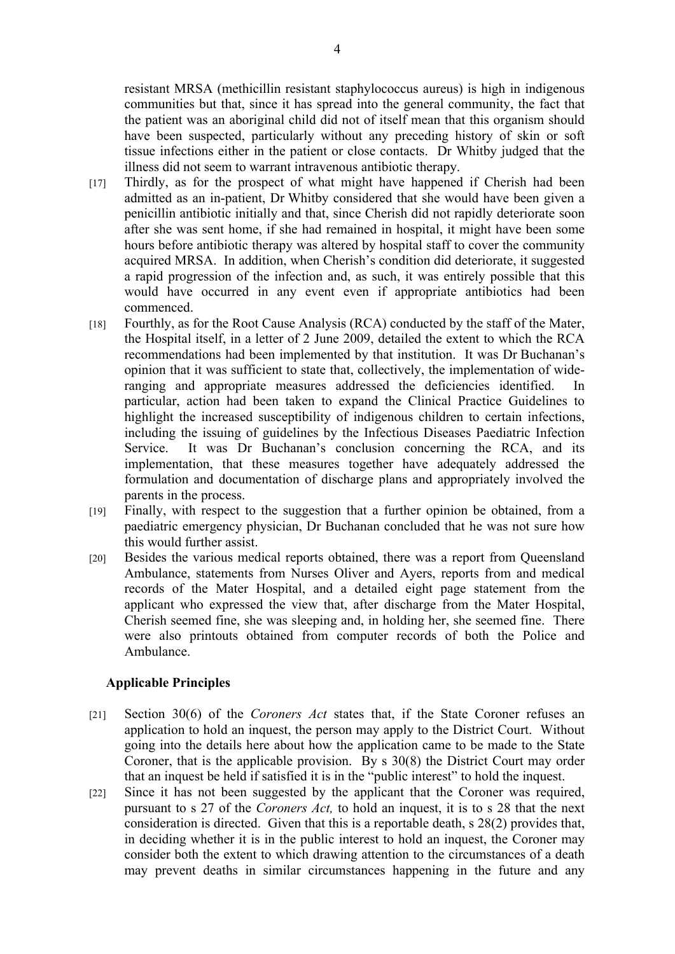resistant MRSA (methicillin resistant staphylococcus aureus) is high in indigenous communities but that, since it has spread into the general community, the fact that the patient was an aboriginal child did not of itself mean that this organism should have been suspected, particularly without any preceding history of skin or soft tissue infections either in the patient or close contacts. Dr Whitby judged that the illness did not seem to warrant intravenous antibiotic therapy.

- [17] Thirdly, as for the prospect of what might have happened if Cherish had been admitted as an in-patient, Dr Whitby considered that she would have been given a penicillin antibiotic initially and that, since Cherish did not rapidly deteriorate soon after she was sent home, if she had remained in hospital, it might have been some hours before antibiotic therapy was altered by hospital staff to cover the community acquired MRSA. In addition, when Cherish's condition did deteriorate, it suggested a rapid progression of the infection and, as such, it was entirely possible that this would have occurred in any event even if appropriate antibiotics had been commenced.
- [18] Fourthly, as for the Root Cause Analysis (RCA) conducted by the staff of the Mater, the Hospital itself, in a letter of 2 June 2009, detailed the extent to which the RCA recommendations had been implemented by that institution. It was Dr Buchanan's opinion that it was sufficient to state that, collectively, the implementation of wideranging and appropriate measures addressed the deficiencies identified. In particular, action had been taken to expand the Clinical Practice Guidelines to highlight the increased susceptibility of indigenous children to certain infections, including the issuing of guidelines by the Infectious Diseases Paediatric Infection Service. It was Dr Buchanan's conclusion concerning the RCA, and its implementation, that these measures together have adequately addressed the formulation and documentation of discharge plans and appropriately involved the parents in the process.
- [19] Finally, with respect to the suggestion that a further opinion be obtained, from a paediatric emergency physician, Dr Buchanan concluded that he was not sure how this would further assist.
- [20] Besides the various medical reports obtained, there was a report from Queensland Ambulance, statements from Nurses Oliver and Ayers, reports from and medical records of the Mater Hospital, and a detailed eight page statement from the applicant who expressed the view that, after discharge from the Mater Hospital, Cherish seemed fine, she was sleeping and, in holding her, she seemed fine. There were also printouts obtained from computer records of both the Police and Ambulance.

# **Applicable Principles**

- [21] Section 30(6) of the *Coroners Act* states that, if the State Coroner refuses an application to hold an inquest, the person may apply to the District Court. Without going into the details here about how the application came to be made to the State Coroner, that is the applicable provision. By s 30(8) the District Court may order that an inquest be held if satisfied it is in the "public interest" to hold the inquest.
- [22] Since it has not been suggested by the applicant that the Coroner was required, pursuant to s 27 of the *Coroners Act,* to hold an inquest, it is to s 28 that the next consideration is directed. Given that this is a reportable death, s 28(2) provides that, in deciding whether it is in the public interest to hold an inquest, the Coroner may consider both the extent to which drawing attention to the circumstances of a death may prevent deaths in similar circumstances happening in the future and any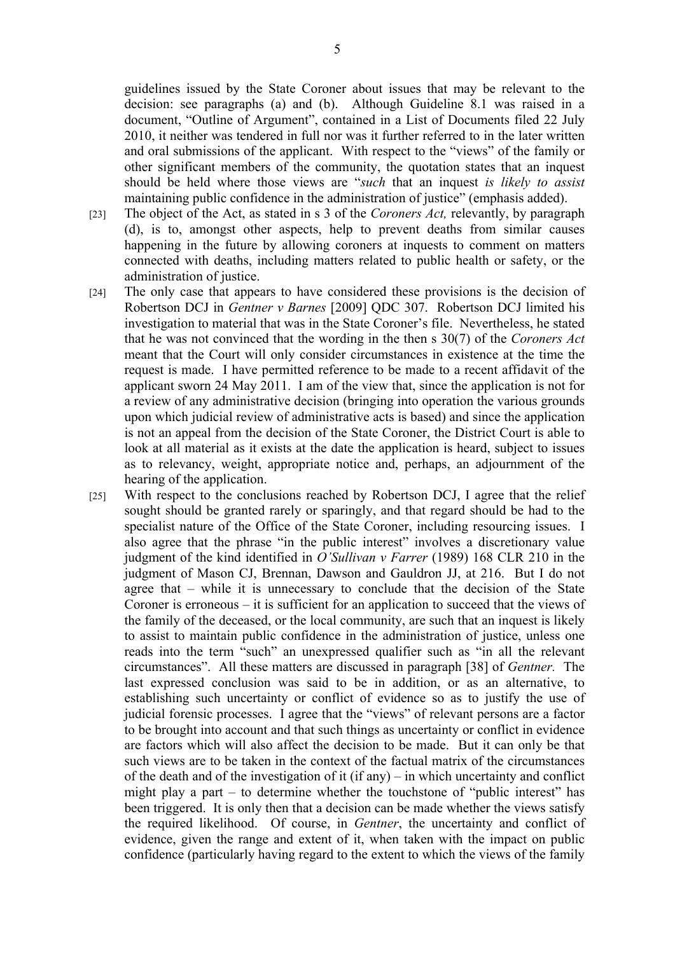guidelines issued by the State Coroner about issues that may be relevant to the decision: see paragraphs (a) and (b). Although Guideline 8.1 was raised in a document, "Outline of Argument", contained in a List of Documents filed 22 July 2010, it neither was tendered in full nor was it further referred to in the later written and oral submissions of the applicant. With respect to the "views" of the family or other significant members of the community, the quotation states that an inquest should be held where those views are "*such* that an inquest *is likely to assist* maintaining public confidence in the administration of justice" (emphasis added).

- [23] The object of the Act, as stated in s 3 of the *Coroners Act,* relevantly, by paragraph (d), is to, amongst other aspects, help to prevent deaths from similar causes happening in the future by allowing coroners at inquests to comment on matters connected with deaths, including matters related to public health or safety, or the administration of justice.
- [24] The only case that appears to have considered these provisions is the decision of Robertson DCJ in *Gentner v Barnes* [2009] QDC 307. Robertson DCJ limited his investigation to material that was in the State Coroner's file. Nevertheless, he stated that he was not convinced that the wording in the then s 30(7) of the *Coroners Act* meant that the Court will only consider circumstances in existence at the time the request is made. I have permitted reference to be made to a recent affidavit of the applicant sworn 24 May 2011. I am of the view that, since the application is not for a review of any administrative decision (bringing into operation the various grounds upon which judicial review of administrative acts is based) and since the application is not an appeal from the decision of the State Coroner, the District Court is able to look at all material as it exists at the date the application is heard, subject to issues as to relevancy, weight, appropriate notice and, perhaps, an adjournment of the hearing of the application.
- [25] With respect to the conclusions reached by Robertson DCJ, I agree that the relief sought should be granted rarely or sparingly, and that regard should be had to the specialist nature of the Office of the State Coroner, including resourcing issues. I also agree that the phrase "in the public interest" involves a discretionary value judgment of the kind identified in *O'Sullivan v Farrer* (1989) 168 CLR 210 in the judgment of Mason CJ, Brennan, Dawson and Gauldron JJ, at 216. But I do not agree that – while it is unnecessary to conclude that the decision of the State Coroner is erroneous – it is sufficient for an application to succeed that the views of the family of the deceased, or the local community, are such that an inquest is likely to assist to maintain public confidence in the administration of justice, unless one reads into the term "such" an unexpressed qualifier such as "in all the relevant circumstances". All these matters are discussed in paragraph [38] of *Gentner.* The last expressed conclusion was said to be in addition, or as an alternative, to establishing such uncertainty or conflict of evidence so as to justify the use of judicial forensic processes. I agree that the "views" of relevant persons are a factor to be brought into account and that such things as uncertainty or conflict in evidence are factors which will also affect the decision to be made. But it can only be that such views are to be taken in the context of the factual matrix of the circumstances of the death and of the investigation of it (if any) – in which uncertainty and conflict might play a part – to determine whether the touchstone of "public interest" has been triggered. It is only then that a decision can be made whether the views satisfy the required likelihood. Of course, in *Gentner*, the uncertainty and conflict of evidence, given the range and extent of it, when taken with the impact on public confidence (particularly having regard to the extent to which the views of the family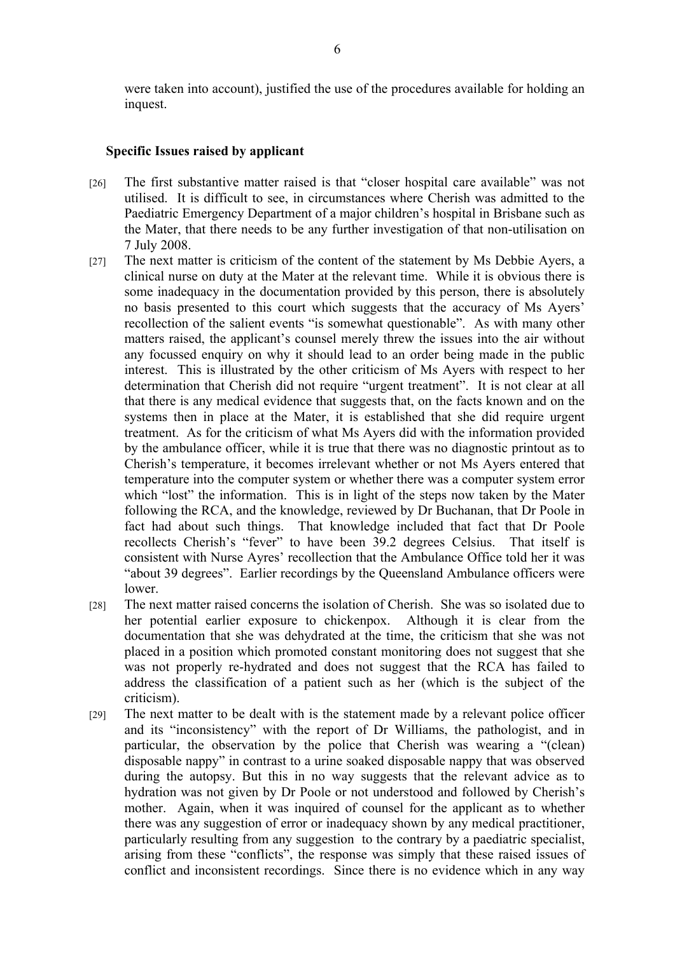were taken into account), justified the use of the procedures available for holding an inquest.

# **Specific Issues raised by applicant**

- [26] The first substantive matter raised is that "closer hospital care available" was not utilised. It is difficult to see, in circumstances where Cherish was admitted to the Paediatric Emergency Department of a major children's hospital in Brisbane such as the Mater, that there needs to be any further investigation of that non-utilisation on 7 July 2008.
- [27] The next matter is criticism of the content of the statement by Ms Debbie Ayers, a clinical nurse on duty at the Mater at the relevant time. While it is obvious there is some inadequacy in the documentation provided by this person, there is absolutely no basis presented to this court which suggests that the accuracy of Ms Ayers' recollection of the salient events "is somewhat questionable". As with many other matters raised, the applicant's counsel merely threw the issues into the air without any focussed enquiry on why it should lead to an order being made in the public interest. This is illustrated by the other criticism of Ms Ayers with respect to her determination that Cherish did not require "urgent treatment". It is not clear at all that there is any medical evidence that suggests that, on the facts known and on the systems then in place at the Mater, it is established that she did require urgent treatment. As for the criticism of what Ms Ayers did with the information provided by the ambulance officer, while it is true that there was no diagnostic printout as to Cherish's temperature, it becomes irrelevant whether or not Ms Ayers entered that temperature into the computer system or whether there was a computer system error which "lost" the information. This is in light of the steps now taken by the Mater following the RCA, and the knowledge, reviewed by Dr Buchanan, that Dr Poole in fact had about such things. That knowledge included that fact that Dr Poole recollects Cherish's "fever" to have been 39.2 degrees Celsius. That itself is consistent with Nurse Ayres' recollection that the Ambulance Office told her it was "about 39 degrees". Earlier recordings by the Queensland Ambulance officers were lower.
- [28] The next matter raised concerns the isolation of Cherish. She was so isolated due to her potential earlier exposure to chickenpox. Although it is clear from the documentation that she was dehydrated at the time, the criticism that she was not placed in a position which promoted constant monitoring does not suggest that she was not properly re-hydrated and does not suggest that the RCA has failed to address the classification of a patient such as her (which is the subject of the criticism).
- [29] The next matter to be dealt with is the statement made by a relevant police officer and its "inconsistency" with the report of Dr Williams, the pathologist, and in particular, the observation by the police that Cherish was wearing a "(clean) disposable nappy" in contrast to a urine soaked disposable nappy that was observed during the autopsy. But this in no way suggests that the relevant advice as to hydration was not given by Dr Poole or not understood and followed by Cherish's mother. Again, when it was inquired of counsel for the applicant as to whether there was any suggestion of error or inadequacy shown by any medical practitioner, particularly resulting from any suggestion to the contrary by a paediatric specialist, arising from these "conflicts", the response was simply that these raised issues of conflict and inconsistent recordings. Since there is no evidence which in any way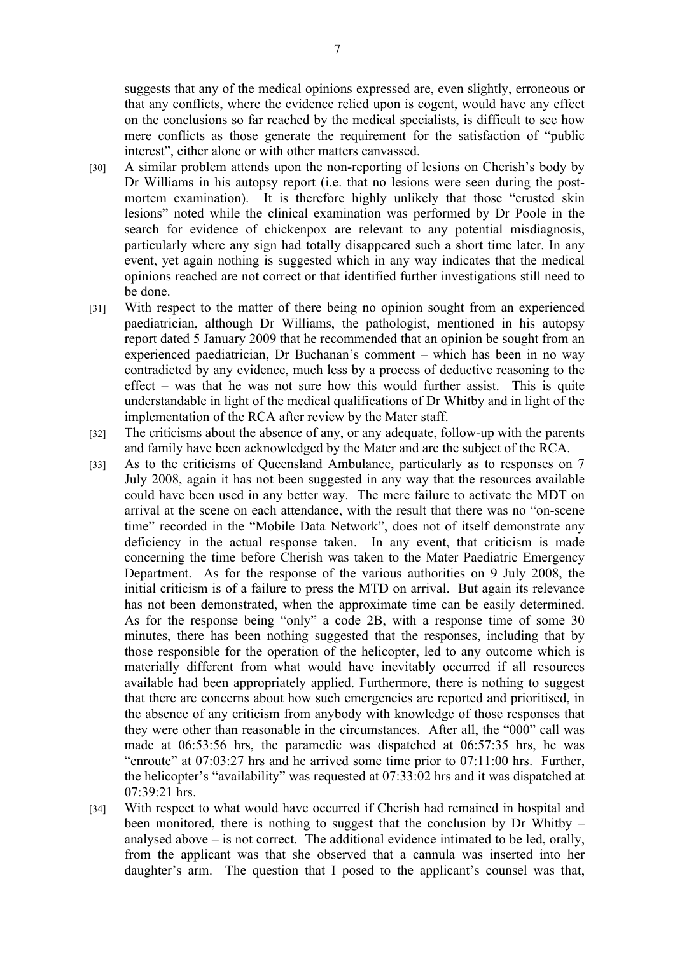suggests that any of the medical opinions expressed are, even slightly, erroneous or that any conflicts, where the evidence relied upon is cogent, would have any effect on the conclusions so far reached by the medical specialists, is difficult to see how mere conflicts as those generate the requirement for the satisfaction of "public interest", either alone or with other matters canvassed.

- [30] A similar problem attends upon the non-reporting of lesions on Cherish's body by Dr Williams in his autopsy report (i.e. that no lesions were seen during the postmortem examination). It is therefore highly unlikely that those "crusted skin" lesions" noted while the clinical examination was performed by Dr Poole in the search for evidence of chickenpox are relevant to any potential misdiagnosis, particularly where any sign had totally disappeared such a short time later. In any event, yet again nothing is suggested which in any way indicates that the medical opinions reached are not correct or that identified further investigations still need to be done.
- [31] With respect to the matter of there being no opinion sought from an experienced paediatrician, although Dr Williams, the pathologist, mentioned in his autopsy report dated 5 January 2009 that he recommended that an opinion be sought from an experienced paediatrician, Dr Buchanan's comment – which has been in no way contradicted by any evidence, much less by a process of deductive reasoning to the effect – was that he was not sure how this would further assist. This is quite understandable in light of the medical qualifications of Dr Whitby and in light of the implementation of the RCA after review by the Mater staff.
- [32] The criticisms about the absence of any, or any adequate, follow-up with the parents and family have been acknowledged by the Mater and are the subject of the RCA.
- [33] As to the criticisms of Queensland Ambulance, particularly as to responses on 7 July 2008, again it has not been suggested in any way that the resources available could have been used in any better way. The mere failure to activate the MDT on arrival at the scene on each attendance, with the result that there was no "on-scene time" recorded in the "Mobile Data Network", does not of itself demonstrate any deficiency in the actual response taken. In any event, that criticism is made concerning the time before Cherish was taken to the Mater Paediatric Emergency Department. As for the response of the various authorities on 9 July 2008, the initial criticism is of a failure to press the MTD on arrival. But again its relevance has not been demonstrated, when the approximate time can be easily determined. As for the response being "only" a code 2B, with a response time of some 30 minutes, there has been nothing suggested that the responses, including that by those responsible for the operation of the helicopter, led to any outcome which is materially different from what would have inevitably occurred if all resources available had been appropriately applied. Furthermore, there is nothing to suggest that there are concerns about how such emergencies are reported and prioritised, in the absence of any criticism from anybody with knowledge of those responses that they were other than reasonable in the circumstances. After all, the "000" call was made at 06:53:56 hrs, the paramedic was dispatched at 06:57:35 hrs, he was "enroute" at 07:03:27 hrs and he arrived some time prior to 07:11:00 hrs. Further, the helicopter's "availability" was requested at 07:33:02 hrs and it was dispatched at 07:39:21 hrs.
- [34] With respect to what would have occurred if Cherish had remained in hospital and been monitored, there is nothing to suggest that the conclusion by Dr Whitby – analysed above – is not correct. The additional evidence intimated to be led, orally, from the applicant was that she observed that a cannula was inserted into her daughter's arm. The question that I posed to the applicant's counsel was that,